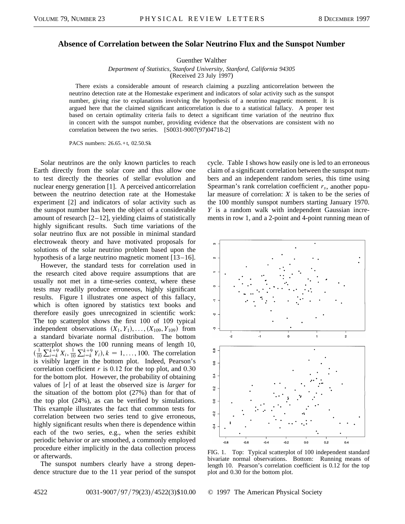## **Absence of Correlation between the Solar Neutrino Flux and the Sunspot Number**

Guenther Walther

*Department of Statistics, Stanford University, Stanford, California 94305* (Received 23 July 1997)

There exists a considerable amount of research claiming a puzzling anticorrelation between the neutrino detection rate at the Homestake experiment and indicators of solar activity such as the sunspot number, giving rise to explanations involving the hypothesis of a neutrino magnetic moment. It is argued here that the claimed significant anticorrelation is due to a statistical fallacy. A proper test based on certain optimality criteria fails to detect a significant time variation of the neutrino flux in concert with the sunspot number, providing evidence that the observations are consistent with no correlation between the two series. [S0031-9007(97)04718-2]

PACS numbers: 26.65.+t, 02.50.Sk

Solar neutrinos are the only known particles to reach Earth directly from the solar core and thus allow one to test directly the theories of stellar evolution and nuclear energy generation [1]. A perceived anticorrelation between the neutrino detection rate at the Homestake experiment [2] and indicators of solar activity such as the sunspot number has been the object of a considerable amount of research [2–12], yielding claims of statistically highly significant results. Such time variations of the solar neutrino flux are not possible in minimal standard electroweak theory and have motivated proposals for solutions of the solar neutrino problem based upon the hypothesis of a large neutrino magnetic moment  $[13-16]$ .

However, the standard tests for correlation used in the research cited above require assumptions that are usually not met in a time-series context, where these tests may readily produce erroneous, highly significant results. Figure 1 illustrates one aspect of this fallacy, which is often ignored by statistics text books and therefore easily goes unrecognized in scientific work: The top scatterplot shows the first 100 of 109 typical independent observations  $(X_1, Y_1), \ldots, (X_{109}, Y_{109})$  from a standard bivariate normal distribution. The bottom scatterplot shows the 100 running means of length 10,  $(\frac{1}{10}$  $\sum_{i=k}^{k+9} X_i, \frac{1}{10}$  $\sum_{i=k}^{k+9} Y_i$ ,  $k = 1, ..., 100$ . The correlation is visibly larger in the bottom plot. Indeed, Pearson's correlation coefficient  $r$  is 0.12 for the top plot, and 0.30 for the bottom plot. However, the probability of obtaining values of j*r*j of at least the observed size is *larger* for the situation of the bottom plot (27%) than for that of the top plot (24%), as can be verified by simulations. This example illustrates the fact that common tests for correlation between two series tend to give erroneous, highly significant results when there is dependence within each of the two series, e.g., when the series exhibit periodic behavior or are smoothed, a commonly employed procedure either implicitly in the data collection process or afterwards.

The sunspot numbers clearly have a strong dependence structure due to the 11 year period of the sunspot cycle. Table I shows how easily one is led to an erroneous claim of a significant correlation between the sunspot numbers and an independent random series, this time using Spearman's rank correlation coefficient *rs*, another popular measure of correlation: *X* is taken to be the series of the 100 monthly sunspot numbers starting January 1970. *Y* is a random walk with independent Gaussian increments in row 1, and a 2-point and 4-point running mean of



FIG. 1. Top: Typical scatterplot of 100 independent standard bivariate normal observations. Bottom: Running means of length 10. Pearson's correlation coefficient is 0.12 for the top plot and 0.30 for the bottom plot.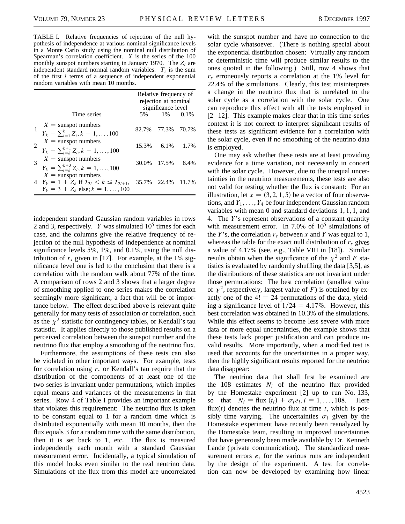TABLE I. Relative frequencies of rejection of the null hypothesis of independence at various nominal significance levels in a Monte Carlo study using the nominal null distribution of Spearman's correlation coefficient. *X* is the series of the 100 monthly sunspot numbers starting in January 1970. The *Zi* are independent standard normal random variables.  $T_i$  is the sum of the first *i* terms of a sequence of independent exponential random variables with mean 10 months.

|                                                                                                                    | Relative frequency of<br>rejection at nominal<br>significance level |                   |  |
|--------------------------------------------------------------------------------------------------------------------|---------------------------------------------------------------------|-------------------|--|
| Time series                                                                                                        |                                                                     | 5\% 1\% 0.1\%     |  |
| $X =$ sunspot numbers<br>$\sum_{i=1}^{n} Z_i, k = 1, , 100$                                                        |                                                                     | 82.7% 77.3% 70.7% |  |
| $X =$ sunspot numbers<br>$Y_k = \sum_{i=k}^{k+1} Z_i, k = 1, , 100$                                                |                                                                     | 15.3% 6.1% 1.7%   |  |
| $X =$ sunspot numbers<br>$Y_k = \sum_{i=k}^{k+3} Z_i, k = 1, \ldots, 100$                                          |                                                                     | 30.0% 17.5% 8.4%  |  |
| $X =$ sunspot numbers<br>4 $Y_k = 1 + Z_k$ if $T_{2i} < k \leq T_{2i+1}$ ,<br>$Y_k = 3 + Z_k$ else; $k = 1, , 100$ |                                                                     | 35.7% 22.4% 11.7% |  |

independent standard Gaussian random variables in rows 2 and 3, respectively. *Y* was simulated  $10<sup>5</sup>$  times for each case, and the columns give the relative frequency of rejection of the null hypothesis of independence at nominal significance levels 5%, 1%, and 0.1%, using the null distribution of  $r_s$  given in [17]. For example, at the 1% significance level one is led to the conclusion that there is a correlation with the random walk about 77% of the time. A comparison of rows 2 and 3 shows that a larger degree of smoothing applied to one series makes the correlation seemingly more significant, a fact that will be of importance below. The effect described above is relevant quite generally for many tests of association or correlation, such as the  $\chi^2$  statistic for contingency tables, or Kendall's tau statistic. It applies directly to those published results on a perceived correlation between the sunspot number and the neutrino flux that employ a smoothing of the neutrino flux.

Furthermore, the assumptions of these tests can also be violated in other important ways. For example, tests for correlation using  $r<sub>s</sub>$  or Kendall's tau require that the distribution of the components of at least one of the two series is invariant under permutations, which implies equal means and variances of the measurements in that series. Row 4 of Table I provides an important example that violates this requirement: The neutrino flux is taken to be constant equal to 1 for a random time which is distributed exponentially with mean 10 months, then the flux equals 3 for a random time with the same distribution, then it is set back to 1, etc. The flux is measured independently each month with a standard Gaussian measurement error. Incidentally, a typical simulation of this model looks even similar to the real neutrino data. Simulations of the flux from this model are uncorrelated

with the sunspot number and have no connection to the solar cycle whatsoever. (There is nothing special about the exponential distribution chosen: Virtually any random or deterministic time will produce similar results to the ones quoted in the following.) Still, row 4 shows that *rs* erroneously reports a correlation at the 1% level for 22.4% of the simulations. Clearly, this test misinterprets a change in the neutrino flux that is unrelated to the solar cycle as a correlation with the solar cycle. One can reproduce this effect with all the tests employed in  $[2-12]$ . This example makes clear that in this time-series context it is not correct to interpret significant results of these tests as significant evidence for a correlation with the solar cycle, even if no smoothing of the neutrino data is employed.

One may ask whether these tests are at least providing evidence for a time variation, not necessarily in concert with the solar cycle. However, due to the unequal uncertainties in the neutrino measurements, these tests are also not valid for testing whether the flux is constant: For an illustration, let  $x = (3, 2, 1, 5)$  be a vector of four observations, and  $Y_1, \ldots, Y_4$  be four independent Gaussian random variables with mean 0 and standard deviations 1, 1, 1, and 4. The *Y*'s represent observations of a constant quantity with measurement error. In 7.0% of  $10^5$  simulations of the *Y*'s, the correlation  $r<sub>s</sub>$  between *x* and *Y* was equal to 1, whereas the table for the exact null distribution of  $r<sub>s</sub>$  gives a value of 4.17% (see, e.g., Table VIII in [18]). Similar results obtain when the significance of the  $\chi^2$  and *F* statistics is evaluated by randomly shuffling the data [3,5], as the distributions of these statistics are not invariant under those permutations: The best correlation (smallest value of  $\chi^2$ , respectively, largest value of *F*) is obtained by exactly one of the  $4! = 24$  permutations of the data, yielding a significance level of  $1/24 = 4.17\%$ . However, this best correlation was obtained in 10.3% of the simulations. While this effect seems to become less severe with more data or more equal uncertainties, the example shows that these tests lack proper justification and can produce invalid results. More importantly, when a modified test is used that accounts for the uncertainties in a proper way, then the highly significant results reported for the neutrino data disappear:

The neutrino data that shall first be examined are the 108 estimates  $N_i$  of the neutrino flux provided by the Homestake experiment [2] up to run No. 133, so that  $N_i = \text{flux}(t_i) + \sigma_i e_i, i = 1, ..., 108.$  Here flux $(t)$  denotes the neutrino flux at time  $t$ , which is possibly time varying. The uncertainties  $\sigma_i$  given by the Homestake experiment have recently been reanalyzed by the Homestake team, resulting in improved uncertainties that have generously been made available by Dr. Kenneth Lande (private communication). The standardized measurement errors  $e_i$  for the various runs are independent by the design of the experiment. A test for correlation can now be developed by examining how linear